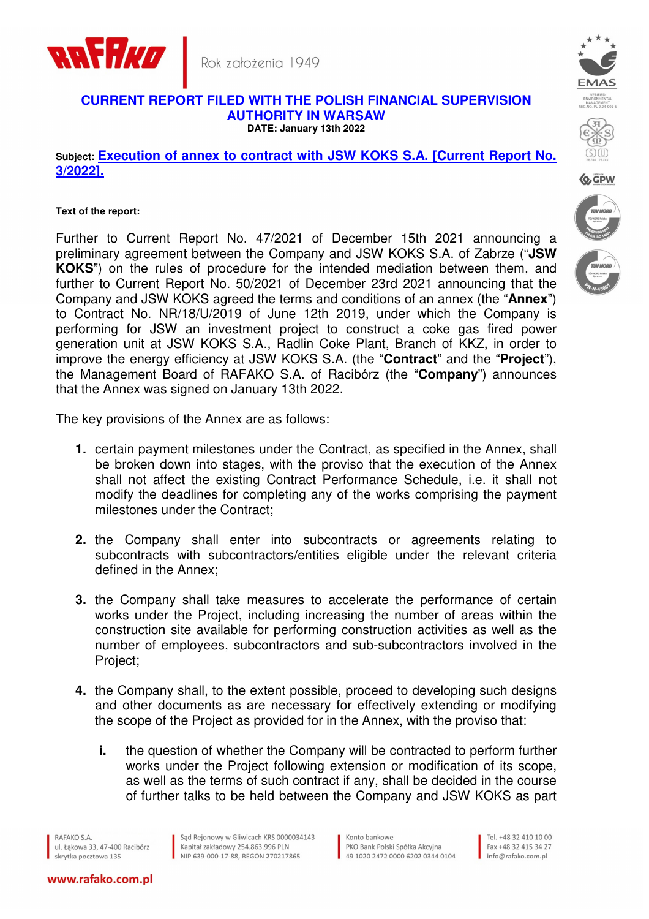



## **CURRENT REPORT FILED WITH THE POLISH FINANCIAL SUPERVISION AUTHORITY IN WARSAW DATE: January 13th 2022**

**Subject: Execution of annex to contract with JSW KOKS S.A. [Current Report No. 3/2022].** 

## **Text of the report:**

Further to Current Report No. 47/2021 of December 15th 2021 announcing a preliminary agreement between the Company and JSW KOKS S.A. of Zabrze ("**JSW KOKS**") on the rules of procedure for the intended mediation between them, and further to Current Report No. 50/2021 of December 23rd 2021 announcing that the Company and JSW KOKS agreed the terms and conditions of an annex (the "**Annex**") to Contract No. NR/18/U/2019 of June 12th 2019, under which the Company is performing for JSW an investment project to construct a coke gas fired power generation unit at JSW KOKS S.A., Radlin Coke Plant, Branch of KKZ, in order to improve the energy efficiency at JSW KOKS S.A. (the "**Contract**" and the "**Project**"), the Management Board of RAFAKO S.A. of Racibórz (the "**Company**") announces that the Annex was signed on January 13th 2022.

The key provisions of the Annex are as follows:

- **1.** certain payment milestones under the Contract, as specified in the Annex, shall be broken down into stages, with the proviso that the execution of the Annex shall not affect the existing Contract Performance Schedule, i.e. it shall not modify the deadlines for completing any of the works comprising the payment milestones under the Contract;
- **2.** the Company shall enter into subcontracts or agreements relating to subcontracts with subcontractors/entities eligible under the relevant criteria defined in the Annex;
- **3.** the Company shall take measures to accelerate the performance of certain works under the Project, including increasing the number of areas within the construction site available for performing construction activities as well as the number of employees, subcontractors and sub-subcontractors involved in the Project;
- **4.** the Company shall, to the extent possible, proceed to developing such designs and other documents as are necessary for effectively extending or modifying the scope of the Project as provided for in the Annex, with the proviso that:
	- **i.** the question of whether the Company will be contracted to perform further works under the Project following extension or modification of its scope, as well as the terms of such contract if any, shall be decided in the course of further talks to be held between the Company and JSW KOKS as part

RAFAKO S.A. ul, Łakowa 33, 47-400 Racibórz skrytka pocztowa 135

www.rafako.com.pl

Sąd Rejonowy w Gliwicach KRS 0000034143 Kapitał zakładowy 254.863.996 PLN NIP 639-000-17-88, REGON 270217865

Konto bankowe PKO Bank Polski Spółka Akcyina 49 1020 2472 0000 6202 0344 0104